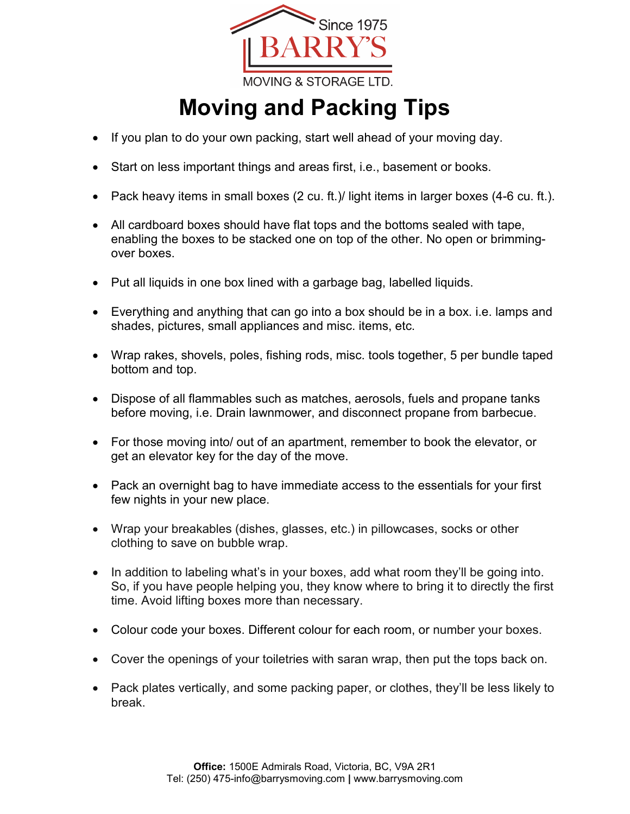

## **Moving and Packing Tips**

- If you plan to do your own packing, start well ahead of your moving day.
- Start on less important things and areas first, i.e., basement or books.
- Pack heavy items in small boxes (2 cu. ft.)/ light items in larger boxes (4-6 cu. ft.).
- All cardboard boxes should have flat tops and the bottoms sealed with tape, enabling the boxes to be stacked one on top of the other. No open or brimmingover boxes.
- Put all liquids in one box lined with a garbage bag, labelled liquids.
- Everything and anything that can go into a box should be in a box. i.e. lamps and shades, pictures, small appliances and misc. items, etc.
- Wrap rakes, shovels, poles, fishing rods, misc. tools together, 5 per bundle taped bottom and top.
- Dispose of all flammables such as matches, aerosols, fuels and propane tanks before moving, i.e. Drain lawnmower, and disconnect propane from barbecue.
- For those moving into/ out of an apartment, remember to book the elevator, or get an elevator key for the day of the move.
- Pack an overnight bag to have immediate access to the essentials for your first few nights in your new place.
- Wrap your breakables (dishes, glasses, etc.) in pillowcases, socks or other clothing to save on bubble wrap.
- In addition to labeling what's in your boxes, add what room they'll be going into. So, if you have people helping you, they know where to bring it to directly the first time. Avoid lifting boxes more than necessary.
- Colour code your boxes. Different colour for each room, or number your boxes.
- Cover the openings of your toiletries with saran wrap, then put the tops back on.
- Pack plates vertically, and some packing paper, or clothes, they'll be less likely to break.